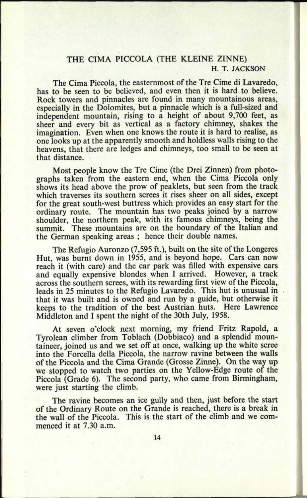## THE CIMA PICCOLA (THE KLEINE ZINNE) H. T. JACKSON

The Cima Piccola, the easternmost of the Tre Cime di Lavaredo, has to be seen to be believed, and even then it is hard to believe. Rock towers and pinnacles are found in many mountainous areas, especially in the Dolomites, but a pinnacle which is a full-sized and independent mountain, rising to a height of about 9,700 feet, as sheer and every bit as vertical as <sup>a</sup>factory chimney, shakes the imagination. Even when one knows the route it is hard to realise, as one looks up at the apparently smooth and holdless walls rising to the heavens, that there are ledges and chimneys, too small to be seen at that distance.

Most people know the Tre Cime (the Drei Zinnen) from photographs taken from the eastern end, when the Cima Piccola only shows its head above the prow of peaklets, but seen from the track which traverses its southern screes it rises sheer on all sides, except for the great south-west buttress which provides an easy start for the ordinary route. The mountain has two peaks joined by a narrow shoulder, the northern peak, with its famous chimneys, being the summit. These mountains are on the boundary of the Italian and the German speaking areas ; hence their double names.

The Refugio Auronzo (7,595 ft.), built on the site of the Longeres Hut, was burnt down in 1955, and is beyond hope. Cars can now reach it (with care) and the car park was filled with expensive cars and equally expensive blondes when I arrived. However, a track across the southern screes, with its rewarding first view of the Piccola, leads in 25 minutes to the Refugio Lavaredo. This hut is unusual in that it was built and is owned and run by a guide, but otherwise it keeps to the tradition of the best Austrian huts. Here Lawrence Middleton and I spent the night of the 30th July, 1958.

At seven <sup>o</sup>'clock next morning, my friend Fritz Rapold, <sup>a</sup> Tyrolean climber from Toblach (Dobbiaco) and a splendid mountaineer, joined us and we set off at once, walking up the white scree into the Forcella della Piccola, the narrow ravine between the walls of the Piccola and the Cima Grande (Grosse Zinne). On the way up we stopped to watch two parties on the Yellow-Edge route of the Piccola (Grade 6). The second party, who came from Birmingham, were just starting the climb.

The ravine becomes an ice gully and then, just before the start of the Ordinary Route on the Grande is reached, there is a break in the wall of the Piccola. This is the start of the climb and we commenced it at 7.30 a.m.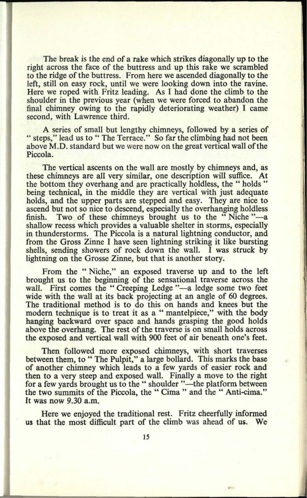The break is the end of a rake which strikes diagonally up to the right across the face of the buttress and up this rake we scrambled to the ridge of the buttress. From here we ascended diagonally to the left, still on easy rock, until we were looking down into the ravine. Here we roped with Fritz leading. As I had done the climb to the shoulder in the previous year (when we were forced to abandon the final chimney owing to the rapidly deteriorating weather) I came second, with Lawrence third.

A series of small but lengthy chimneys, followed by a series of " steps," lead us to " The Terrace." So far the climbing had not been above M.D. standard but we were now on the great vertical wall of the Piccola.

The vertical ascents on the wall are mostly by chimneys and, as these chimneys are all very similar, one description will suffice. At the bottom they overhang and are practically holdless, the " holds " being technical, in the middle they are vertical with just adequate holds, and the upper parts are stepped and easy. They are nice to ascend but not so nice to descend, especially the overhanging holdless finish. Two of these chimneys brought us to the "Niche"—a Two of these chimneys brought us to the "Niche"-a shallow recess which provides a valuable shelter in storms, especially in thunderstorms. The Piccola is a natural lightning conductor, and from the Gross Zinne I have seen lightning striking it like bursting shells, sending showers of rock down the wall. I was struck by lightning on the Grosse Zinne, but that is another story.

From the " Niche," an exposed traverse up and to the left brought us to the beginning of the sensational traverse across the wall. First comes the "Creeping Ledge "-a ledge some two feet wide with the wall at its back projecting at an angle of 60 degrees. The traditional method is to do this on hands and knees but the modern technique is to treat it as a " mantelpiece," with the body hanging backward over space and hands grasping the good holds above the overhang. The rest of the traverse is on small holds across the exposed and vertical wall with 900 feet of air beneath one's feet.

Then followed more exposed chimneys, with short traverses between them, to " The Pulpit," a large bollard. This marks the base of another chimney which leads to a few yards of easier rock and then to a very steep and exposed wall. Finally a move to the right for a few yards brought us to the " shoulder "—the platform between the two summits of the Piccola, the " Cima " and the " Anti-cima." It was now 9.30 a.m.

Here we enjoyed the traditional rest. Fritz cheerfully informed us that the most difficult part of the climb was ahead of us. We